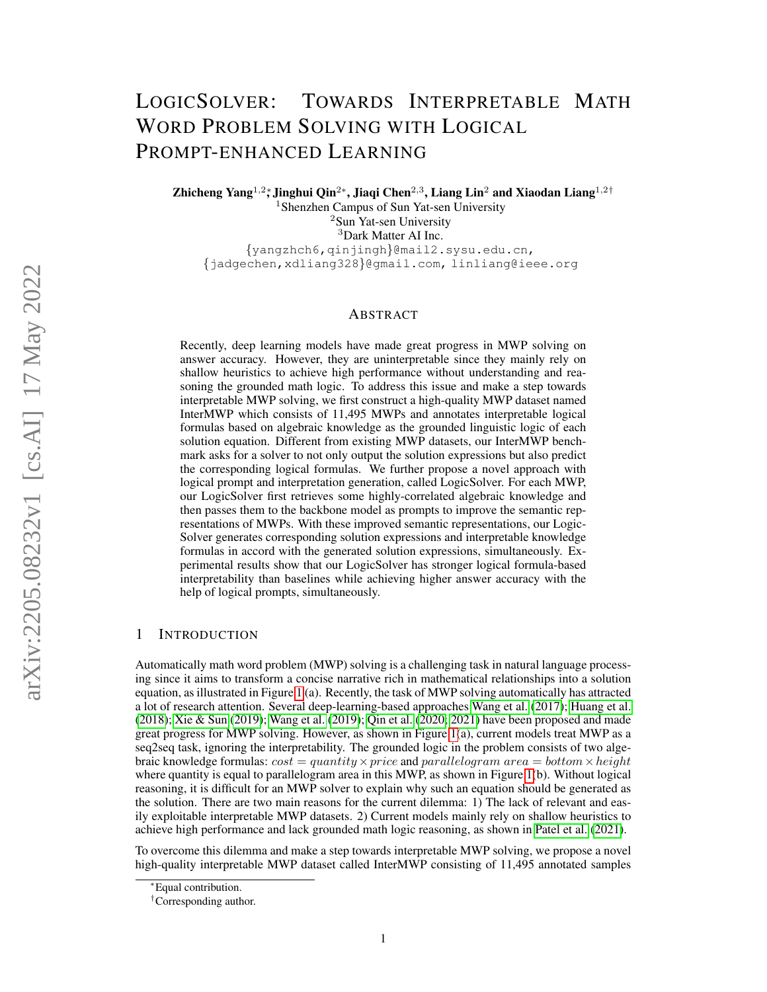# LOGICSOLVER: TOWARDS INTERPRETABLE MATH WORD PROBLEM SOLVING WITH LOGICAL PROMPT-ENHANCED LEARNING

Zhicheng Yang $^{1,2}$ \*, Jinghui Qin $^{2*}$ , Jiaqi Chen $^{2,3}$ , Liang Lin $^2$  and Xiaodan Liang $^{1,2\dagger}$ <sup>1</sup> Shenzhen Campus of Sun Yat-sen University <sup>2</sup>Sun Yat-sen University <sup>3</sup>Dark Matter AI Inc. {yangzhch6,qinjingh}@mail2.sysu.edu.cn, {jadgechen,xdliang328}@gmail.com, linliang@ieee.org

#### ABSTRACT

Recently, deep learning models have made great progress in MWP solving on answer accuracy. However, they are uninterpretable since they mainly rely on shallow heuristics to achieve high performance without understanding and reasoning the grounded math logic. To address this issue and make a step towards interpretable MWP solving, we first construct a high-quality MWP dataset named InterMWP which consists of 11,495 MWPs and annotates interpretable logical formulas based on algebraic knowledge as the grounded linguistic logic of each solution equation. Different from existing MWP datasets, our InterMWP benchmark asks for a solver to not only output the solution expressions but also predict the corresponding logical formulas. We further propose a novel approach with logical prompt and interpretation generation, called LogicSolver. For each MWP, our LogicSolver first retrieves some highly-correlated algebraic knowledge and then passes them to the backbone model as prompts to improve the semantic representations of MWPs. With these improved semantic representations, our Logic-Solver generates corresponding solution expressions and interpretable knowledge formulas in accord with the generated solution expressions, simultaneously. Experimental results show that our LogicSolver has stronger logical formula-based interpretability than baselines while achieving higher answer accuracy with the help of logical prompts, simultaneously.

## 1 INTRODUCTION

Automatically math word problem (MWP) solving is a challenging task in natural language processing since it aims to transform a concise narrative rich in mathematical relationships into a solution equation, as illustrated in Figure [1](#page-1-0) (a). Recently, the task of MWP solving automatically has attracted a lot of research attention. Several deep-learning-based approaches [Wang et al.](#page-12-0) [\(2017\)](#page-12-0); [Huang et al.](#page-11-0) [\(2018\)](#page-11-0); [Xie & Sun](#page-12-1) [\(2019\)](#page-12-1); [Wang et al.](#page-12-2) [\(2019\)](#page-12-2); [Qin et al.](#page-11-1) [\(2020;](#page-11-1) [2021\)](#page-11-2) have been proposed and made great progress for MWP solving. However, as shown in Figure  $1(a)$ , current models treat MWP as a seq2seq task, ignoring the interpretability. The grounded logic in the problem consists of two algebraic knowledge formulas:  $cost = quantity \times price$  and parallelogram area = bottom  $\times height$ where quantity is equal to parallelogram area in this MWP, as shown in Figure [1\(](#page-1-0)b). Without logical reasoning, it is difficult for an MWP solver to explain why such an equation should be generated as the solution. There are two main reasons for the current dilemma: 1) The lack of relevant and easily exploitable interpretable MWP datasets. 2) Current models mainly rely on shallow heuristics to achieve high performance and lack grounded math logic reasoning, as shown in [Patel et al.](#page-11-3) [\(2021\)](#page-11-3).

To overcome this dilemma and make a step towards interpretable MWP solving, we propose a novel high-quality interpretable MWP dataset called InterMWP consisting of 11,495 annotated samples

<sup>∗</sup>Equal contribution.

<sup>†</sup>Corresponding author.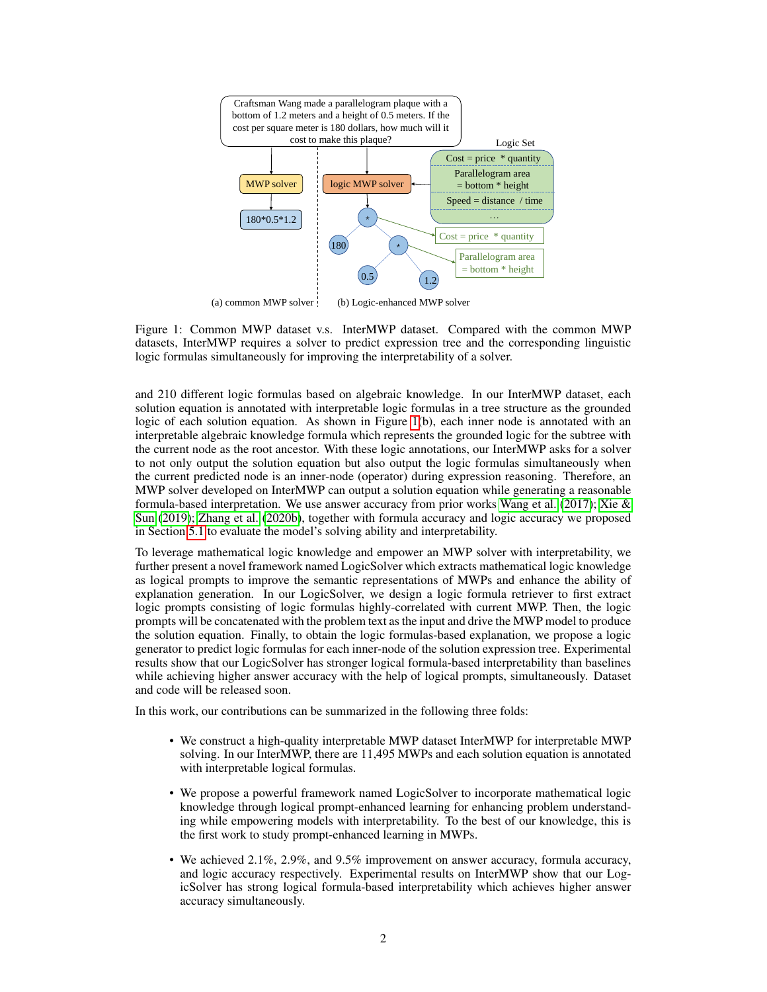<span id="page-1-0"></span>

(a) common MWP solver (b) Logic-enhanced MWP solver

Figure 1: Common MWP dataset v.s. InterMWP dataset. Compared with the common MWP datasets, InterMWP requires a solver to predict expression tree and the corresponding linguistic logic formulas simultaneously for improving the interpretability of a solver.

and 210 different logic formulas based on algebraic knowledge. In our InterMWP dataset, each solution equation is annotated with interpretable logic formulas in a tree structure as the grounded logic of each solution equation. As shown in Figure [1\(](#page-1-0)b), each inner node is annotated with an interpretable algebraic knowledge formula which represents the grounded logic for the subtree with the current node as the root ancestor. With these logic annotations, our InterMWP asks for a solver to not only output the solution equation but also output the logic formulas simultaneously when the current predicted node is an inner-node (operator) during expression reasoning. Therefore, an MWP solver developed on InterMWP can output a solution equation while generating a reasonable formula-based interpretation. We use answer accuracy from prior works [Wang et al.](#page-12-0) [\(2017\)](#page-12-0); Xie  $\&$ [Sun](#page-12-1) [\(2019\)](#page-12-1); [Zhang et al.](#page-12-3) [\(2020b\)](#page-12-3), together with formula accuracy and logic accuracy we proposed in Section [5.1](#page-6-0) to evaluate the model's solving ability and interpretability.

To leverage mathematical logic knowledge and empower an MWP solver with interpretability, we further present a novel framework named LogicSolver which extracts mathematical logic knowledge as logical prompts to improve the semantic representations of MWPs and enhance the ability of explanation generation. In our LogicSolver, we design a logic formula retriever to first extract logic prompts consisting of logic formulas highly-correlated with current MWP. Then, the logic prompts will be concatenated with the problem text as the input and drive the MWP model to produce the solution equation. Finally, to obtain the logic formulas-based explanation, we propose a logic generator to predict logic formulas for each inner-node of the solution expression tree. Experimental results show that our LogicSolver has stronger logical formula-based interpretability than baselines while achieving higher answer accuracy with the help of logical prompts, simultaneously. Dataset and code will be released soon.

In this work, our contributions can be summarized in the following three folds:

- We construct a high-quality interpretable MWP dataset InterMWP for interpretable MWP solving. In our InterMWP, there are 11,495 MWPs and each solution equation is annotated with interpretable logical formulas.
- We propose a powerful framework named LogicSolver to incorporate mathematical logic knowledge through logical prompt-enhanced learning for enhancing problem understanding while empowering models with interpretability. To the best of our knowledge, this is the first work to study prompt-enhanced learning in MWPs.
- We achieved 2.1%, 2.9%, and 9.5% improvement on answer accuracy, formula accuracy, and logic accuracy respectively. Experimental results on InterMWP show that our LogicSolver has strong logical formula-based interpretability which achieves higher answer accuracy simultaneously.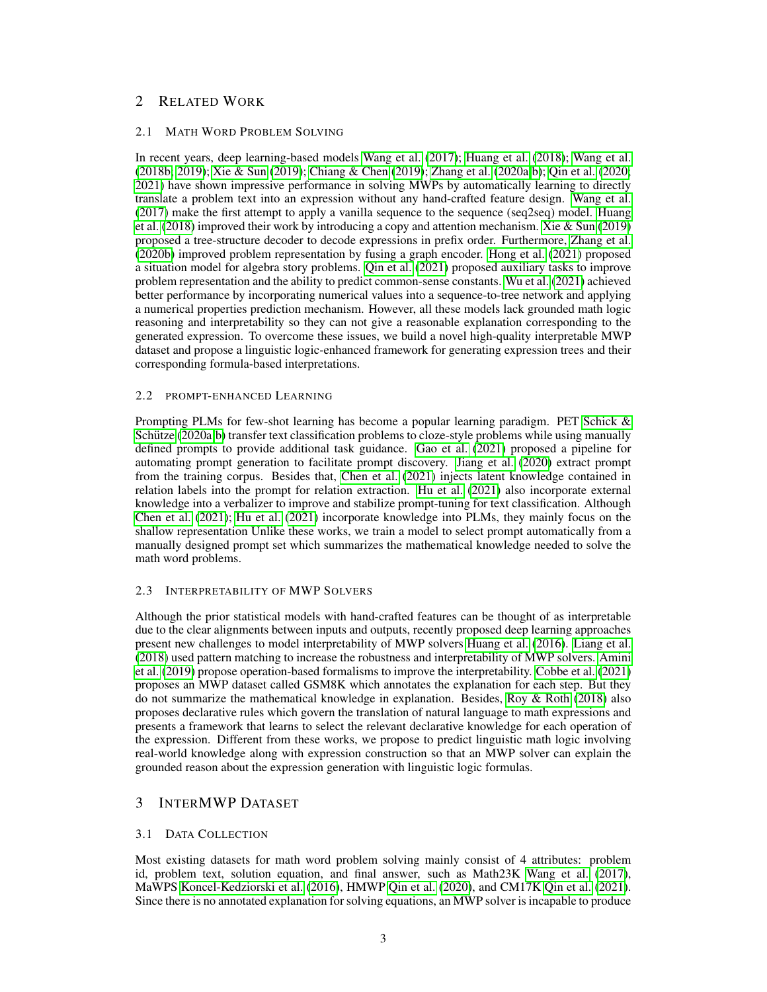# 2 RELATED WORK

#### 2.1 MATH WORD PROBLEM SOLVING

In recent years, deep learning-based models [Wang et al.](#page-12-0) [\(2017\)](#page-12-0); [Huang et al.](#page-11-0) [\(2018\)](#page-11-0); [Wang et al.](#page-12-4) [\(2018b;](#page-12-4) [2019\)](#page-12-2); [Xie & Sun](#page-12-1) [\(2019\)](#page-12-1); [Chiang & Chen](#page-10-0) [\(2019\)](#page-10-0); [Zhang et al.](#page-12-5) [\(2020a;](#page-12-5)[b\)](#page-12-3); [Qin et al.](#page-11-1) [\(2020;](#page-11-1) [2021\)](#page-11-2) have shown impressive performance in solving MWPs by automatically learning to directly translate a problem text into an expression without any hand-crafted feature design. [Wang et al.](#page-12-0) [\(2017\)](#page-12-0) make the first attempt to apply a vanilla sequence to the sequence (seq2seq) model. [Huang](#page-11-0) [et al.](#page-11-0) [\(2018\)](#page-11-0) improved their work by introducing a copy and attention mechanism. [Xie & Sun](#page-12-1) [\(2019\)](#page-12-1) proposed a tree-structure decoder to decode expressions in prefix order. Furthermore, [Zhang et al.](#page-12-3) [\(2020b\)](#page-12-3) improved problem representation by fusing a graph encoder. [Hong et al.](#page-11-4) [\(2021\)](#page-11-4) proposed a situation model for algebra story problems. [Qin et al.](#page-11-2) [\(2021\)](#page-11-2) proposed auxiliary tasks to improve problem representation and the ability to predict common-sense constants. [Wu et al.](#page-12-6) [\(2021\)](#page-12-6) achieved better performance by incorporating numerical values into a sequence-to-tree network and applying a numerical properties prediction mechanism. However, all these models lack grounded math logic reasoning and interpretability so they can not give a reasonable explanation corresponding to the generated expression. To overcome these issues, we build a novel high-quality interpretable MWP dataset and propose a linguistic logic-enhanced framework for generating expression trees and their corresponding formula-based interpretations.

#### 2.2 PROMPT-ENHANCED LEARNING

Prompting PLMs for few-shot learning has become a popular learning paradigm. PET [Schick &](#page-12-7) Schütze [\(2020a](#page-12-7)[;b\)](#page-12-8) transfer text classification problems to cloze-style problems while using manually defined prompts to provide additional task guidance. [Gao et al.](#page-10-1) [\(2021\)](#page-10-1) proposed a pipeline for automating prompt generation to facilitate prompt discovery. [Jiang et al.](#page-11-5) [\(2020\)](#page-11-5) extract prompt from the training corpus. Besides that, [Chen et al.](#page-10-2) [\(2021\)](#page-10-2) injects latent knowledge contained in relation labels into the prompt for relation extraction. [Hu et al.](#page-11-6) [\(2021\)](#page-11-6) also incorporate external knowledge into a verbalizer to improve and stabilize prompt-tuning for text classification. Although [Chen et al.](#page-10-2) [\(2021\)](#page-10-2); [Hu et al.](#page-11-6) [\(2021\)](#page-11-6) incorporate knowledge into PLMs, they mainly focus on the shallow representation Unlike these works, we train a model to select prompt automatically from a manually designed prompt set which summarizes the mathematical knowledge needed to solve the math word problems.

## 2.3 INTERPRETABILITY OF MWP SOLVERS

Although the prior statistical models with hand-crafted features can be thought of as interpretable due to the clear alignments between inputs and outputs, recently proposed deep learning approaches present new challenges to model interpretability of MWP solvers [Huang et al.](#page-11-7) [\(2016\)](#page-11-7). [Liang et al.](#page-11-8) [\(2018\)](#page-11-8) used pattern matching to increase the robustness and interpretability of MWP solvers. [Amini](#page-10-3) [et al.](#page-10-3) [\(2019\)](#page-10-3) propose operation-based formalisms to improve the interpretability. [Cobbe et al.](#page-10-4) [\(2021\)](#page-10-4) proposes an MWP dataset called GSM8K which annotates the explanation for each step. But they do not summarize the mathematical knowledge in explanation. Besides, [Roy & Roth](#page-12-9) [\(2018\)](#page-12-9) also proposes declarative rules which govern the translation of natural language to math expressions and presents a framework that learns to select the relevant declarative knowledge for each operation of the expression. Different from these works, we propose to predict linguistic math logic involving real-world knowledge along with expression construction so that an MWP solver can explain the grounded reason about the expression generation with linguistic logic formulas.

# 3 INTERMWP DATASET

## 3.1 DATA COLLECTION

Most existing datasets for math word problem solving mainly consist of 4 attributes: problem id, problem text, solution equation, and final answer, such as Math23K [Wang et al.](#page-12-0) [\(2017\)](#page-12-0), MaWPS [Koncel-Kedziorski et al.](#page-11-9) [\(2016\)](#page-11-9), HMWP [Qin et al.](#page-11-1) [\(2020\)](#page-11-1), and CM17K [Qin et al.](#page-11-2) [\(2021\)](#page-11-2). Since there is no annotated explanation for solving equations, an MWP solver is incapable to produce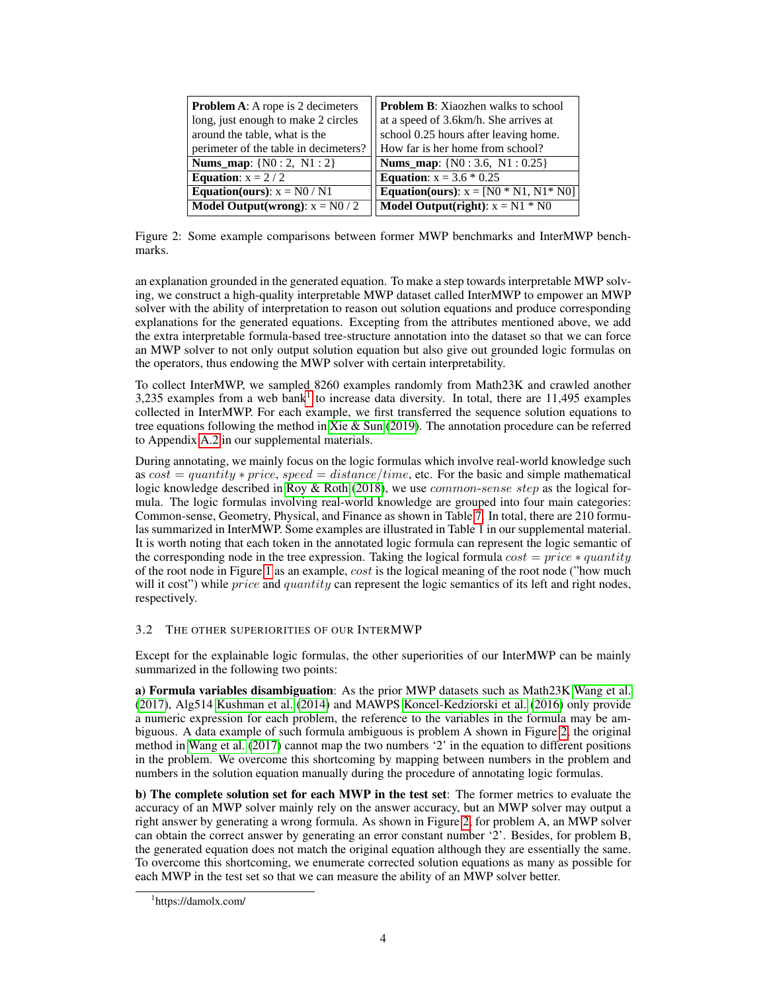<span id="page-3-1"></span>

| <b>Problem A:</b> A rope is 2 decimeters | <b>Problem B:</b> Xiaozhen walks to school      |
|------------------------------------------|-------------------------------------------------|
| long, just enough to make 2 circles      | at a speed of 3.6km/h. She arrives at           |
| around the table, what is the            | school 0.25 hours after leaving home.           |
| perimeter of the table in decimeters?    | How far is her home from school?                |
| <b>Nums_map:</b> $\{N0:2, N1:2\}$        | <b>Nums map:</b> $\{N0:3.6, N1:0.25\}$          |
| Equation: $x = 2 / 2$                    | <b>Equation:</b> $x = 3.6 * 0.25$               |
| <b>Equation(ours):</b> $x = N0/N1$       | <b>Equation(ours):</b> $x = [N0 * N1, N1 * N0]$ |
| <b>Model Output(wrong):</b> $x = N0/2$   | <b>Model Output(right):</b> $x = N1 * N0$       |

Figure 2: Some example comparisons between former MWP benchmarks and InterMWP benchmarks.

an explanation grounded in the generated equation. To make a step towards interpretable MWP solving, we construct a high-quality interpretable MWP dataset called InterMWP to empower an MWP solver with the ability of interpretation to reason out solution equations and produce corresponding explanations for the generated equations. Excepting from the attributes mentioned above, we add the extra interpretable formula-based tree-structure annotation into the dataset so that we can force an MWP solver to not only output solution equation but also give out grounded logic formulas on the operators, thus endowing the MWP solver with certain interpretability.

To collect InterMWP, we sampled 8260 examples randomly from Math23K and crawled another 3,235 examples from a web bank<sup>[1](#page-3-0)</sup> to increase data diversity. In total, there are 11,495 examples collected in InterMWP. For each example, we first transferred the sequence solution equations to tree equations following the method in [Xie & Sun](#page-12-1) [\(2019\)](#page-12-1). The annotation procedure can be referred to Appendix [A.2](#page-13-0) in our supplemental materials.

During annotating, we mainly focus on the logic formulas which involve real-world knowledge such as  $cost = quantity * price$ ,  $speed = distance/time$ , etc. For the basic and simple mathematical logic knowledge described in [Roy & Roth](#page-12-9) [\(2018\)](#page-12-9), we use  $common\text{-}sense\ step$  as the logical formula. The logic formulas involving real-world knowledge are grouped into four main categories: Common-sense, Geometry, Physical, and Finance as shown in Table [7.](#page-13-1) In total, there are 210 formulas summarized in InterMWP. Some examples are illustrated in Table 1 in our supplemental material. It is worth noting that each token in the annotated logic formula can represent the logic semantic of the corresponding node in the tree expression. Taking the logical formula  $cost = price * quantity$ of the root node in Figure [1](#page-1-0) as an example, cost is the logical meaning of the root node ("how much will it cost") while *price* and *quantity* can represent the logic semantics of its left and right nodes, respectively.

# 3.2 THE OTHER SUPERIORITIES OF OUR INTERMWP

Except for the explainable logic formulas, the other superiorities of our InterMWP can be mainly summarized in the following two points:

a) Formula variables disambiguation: As the prior MWP datasets such as Math23K [Wang et al.](#page-12-0) [\(2017\)](#page-12-0), Alg514 [Kushman et al.](#page-11-10) [\(2014\)](#page-11-10) and MAWPS [Koncel-Kedziorski et al.](#page-11-9) [\(2016\)](#page-11-9) only provide a numeric expression for each problem, the reference to the variables in the formula may be ambiguous. A data example of such formula ambiguous is problem A shown in Figure [2,](#page-3-1) the original method in [Wang et al.](#page-12-0) [\(2017\)](#page-12-0) cannot map the two numbers '2' in the equation to different positions in the problem. We overcome this shortcoming by mapping between numbers in the problem and numbers in the solution equation manually during the procedure of annotating logic formulas.

b) The complete solution set for each MWP in the test set: The former metrics to evaluate the accuracy of an MWP solver mainly rely on the answer accuracy, but an MWP solver may output a right answer by generating a wrong formula. As shown in Figure [2,](#page-3-1) for problem A, an MWP solver can obtain the correct answer by generating an error constant number '2'. Besides, for problem B, the generated equation does not match the original equation although they are essentially the same. To overcome this shortcoming, we enumerate corrected solution equations as many as possible for each MWP in the test set so that we can measure the ability of an MWP solver better.

<span id="page-3-0"></span><sup>1</sup> https://damolx.com/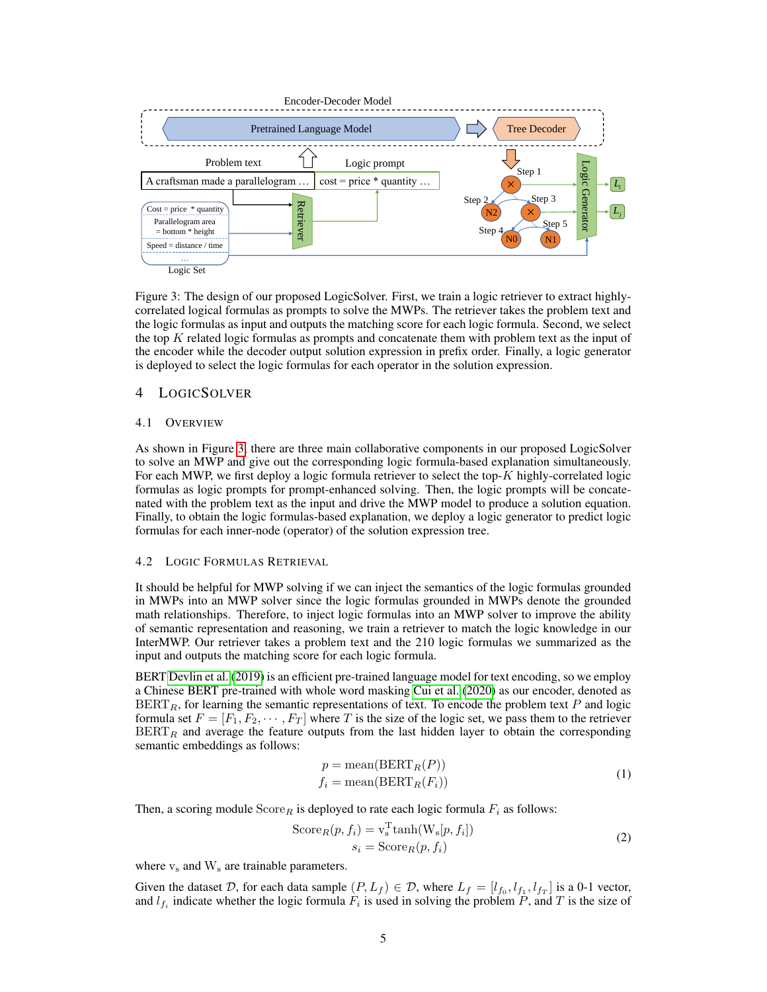<span id="page-4-0"></span>

Figure 3: The design of our proposed LogicSolver. First, we train a logic retriever to extract highlycorrelated logical formulas as prompts to solve the MWPs. The retriever takes the problem text and the logic formulas as input and outputs the matching score for each logic formula. Second, we select the top  $K$  related logic formulas as prompts and concatenate them with problem text as the input of the encoder while the decoder output solution expression in prefix order. Finally, a logic generator is deployed to select the logic formulas for each operator in the solution expression.

# 4 LOGICSOLVER

#### 4.1 OVERVIEW

As shown in Figure [3,](#page-4-0) there are three main collaborative components in our proposed LogicSolver to solve an MWP and give out the corresponding logic formula-based explanation simultaneously. For each MWP, we first deploy a logic formula retriever to select the top-K highly-correlated logic formulas as logic prompts for prompt-enhanced solving. Then, the logic prompts will be concatenated with the problem text as the input and drive the MWP model to produce a solution equation. Finally, to obtain the logic formulas-based explanation, we deploy a logic generator to predict logic formulas for each inner-node (operator) of the solution expression tree.

#### 4.2 LOGIC FORMULAS RETRIEVAL

It should be helpful for MWP solving if we can inject the semantics of the logic formulas grounded in MWPs into an MWP solver since the logic formulas grounded in MWPs denote the grounded math relationships. Therefore, to inject logic formulas into an MWP solver to improve the ability of semantic representation and reasoning, we train a retriever to match the logic knowledge in our InterMWP. Our retriever takes a problem text and the 210 logic formulas we summarized as the input and outputs the matching score for each logic formula.

BERT [Devlin et al.](#page-10-5) [\(2019\)](#page-10-5) is an efficient pre-trained language model for text encoding, so we employ a Chinese BERT pre-trained with whole word masking [Cui et al.](#page-10-6) [\(2020\)](#page-10-6) as our encoder, denoted as  $BERT<sub>R</sub>$ , for learning the semantic representations of text. To encode the problem text P and logic formula set  $F = [F_1, F_2, \dots, F_T]$  where T is the size of the logic set, we pass them to the retriever  $BERT<sub>R</sub>$  and average the feature outputs from the last hidden layer to obtain the corresponding semantic embeddings as follows:

$$
p = \text{mean}(\text{BERT}_R(P))
$$
  

$$
f_i = \text{mean}(\text{BERT}_R(F_i))
$$
 (1)

Then, a scoring module  $\text{Score}_R$  is deployed to rate each logic formula  $F_i$  as follows:

$$
Score_R(p, f_i) = v_s^{\text{T}} \tanh(W_s[p, f_i])
$$
  

$$
s_i = Score_R(p, f_i)
$$
 (2)

where  $v_s$  and  $W_s$  are trainable parameters.

Given the dataset D, for each data sample  $(P, L_f) \in D$ , where  $L_f = [l_{f_0}, l_{f_1}, l_{f_T}]$  is a 0-1 vector, and  $l_{f_i}$  indicate whether the logic formula  $F_i$  is used in solving the problem P, and T is the size of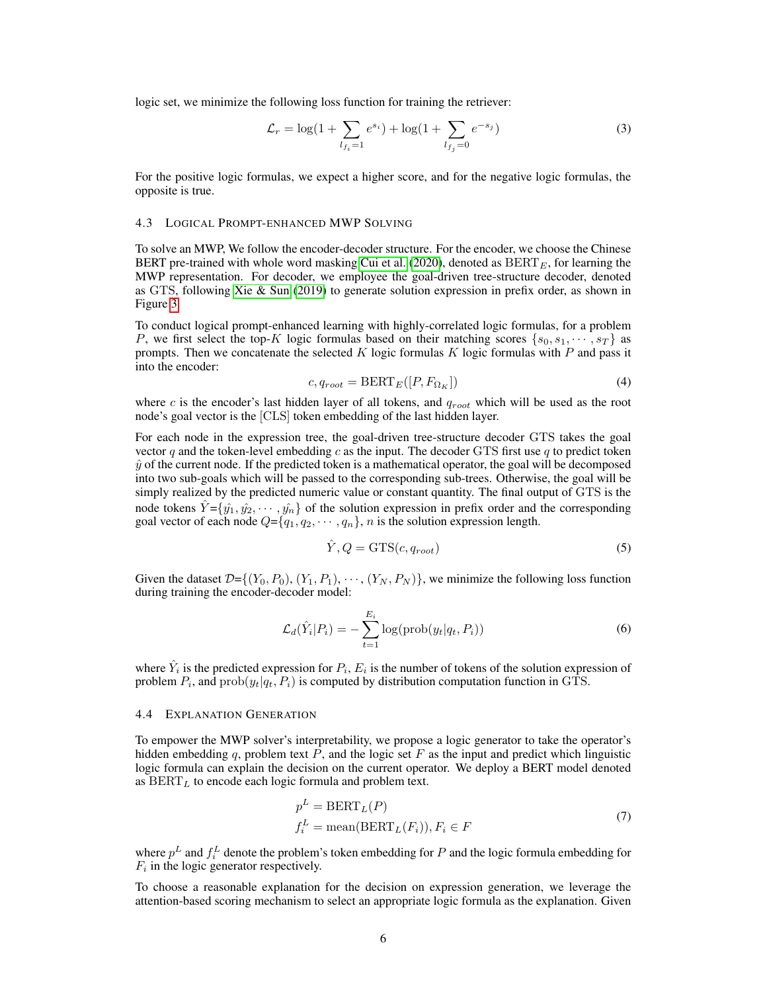logic set, we minimize the following loss function for training the retriever:

$$
\mathcal{L}_r = \log(1 + \sum_{l_{f_i} = 1} e^{s_i}) + \log(1 + \sum_{l_{f_j} = 0} e^{-s_j})
$$
\n(3)

For the positive logic formulas, we expect a higher score, and for the negative logic formulas, the opposite is true.

#### 4.3 LOGICAL PROMPT-ENHANCED MWP SOLVING

To solve an MWP, We follow the encoder-decoder structure. For the encoder, we choose the Chinese BERT pre-trained with whole word masking [Cui et al.](#page-10-6) [\(2020\)](#page-10-6), denoted as  $BERT_E$ , for learning the MWP representation. For decoder, we employee the goal-driven tree-structure decoder, denoted as GTS, following [Xie & Sun](#page-12-1) [\(2019\)](#page-12-1) to generate solution expression in prefix order, as shown in Figure [3.](#page-4-0)

To conduct logical prompt-enhanced learning with highly-correlated logic formulas, for a problem P, we first select the top-K logic formulas based on their matching scores  $\{s_0, s_1, \dots, s_T\}$  as prompts. Then we concatenate the selected K logic formulas K logic formulas with P and pass it into the encoder:

$$
c, q_{root} = BERT_E([P, F_{\Omega_K}])
$$
\n(4)

where  $c$  is the encoder's last hidden layer of all tokens, and  $q_{root}$  which will be used as the root node's goal vector is the [CLS] token embedding of the last hidden layer.

For each node in the expression tree, the goal-driven tree-structure decoder GTS takes the goal vector q and the token-level embedding c as the input. The decoder GTS first use q to predict token  $\hat{y}$  of the current node. If the predicted token is a mathematical operator, the goal will be decomposed into two sub-goals which will be passed to the corresponding sub-trees. Otherwise, the goal will be simply realized by the predicted numeric value or constant quantity. The final output of GTS is the node tokens  $\hat{Y} = \{\hat{y}_1, \hat{y}_2, \dots, \hat{y}_n\}$  of the solution expression in prefix order and the corresponding goal vector of each node  $Q = \{q_1, q_2, \dots, q_n\}$ , *n* is the solution expression length.

$$
\hat{Y}, Q = \text{GTS}(c, q_{root})
$$
\n<sup>(5)</sup>

Given the dataset  $\mathcal{D}=\{(Y_0, P_0), (Y_1, P_1), \cdots, (Y_N, P_N)\}\,$  we minimize the following loss function during training the encoder-decoder model:

$$
\mathcal{L}_d(\hat{Y}_i|P_i) = -\sum_{t=1}^{E_i} \log(\text{prob}(y_t|q_t, P_i))
$$
\n(6)

where  $\hat{Y}_i$  is the predicted expression for  $P_i$ ,  $E_i$  is the number of tokens of the solution expression of problem  $P_i$ , and  $prob(y_t|q_t, P_i)$  is computed by distribution computation function in GTS.

#### 4.4 EXPLANATION GENERATION

To empower the MWP solver's interpretability, we propose a logic generator to take the operator's hidden embedding  $q$ , problem text  $P$ , and the logic set  $F$  as the input and predict which linguistic logic formula can explain the decision on the current operator. We deploy a BERT model denoted as  $BERT<sub>L</sub>$  to encode each logic formula and problem text.

$$
p^{L} = BERT_{L}(P)
$$
  
\n
$$
f_{i}^{L} = \text{mean}(BERT_{L}(F_{i})), F_{i} \in F
$$
\n(7)

where  $p^L$  and  $f_i^L$  denote the problem's token embedding for P and the logic formula embedding for  $F_i$  in the logic generator respectively.

To choose a reasonable explanation for the decision on expression generation, we leverage the attention-based scoring mechanism to select an appropriate logic formula as the explanation. Given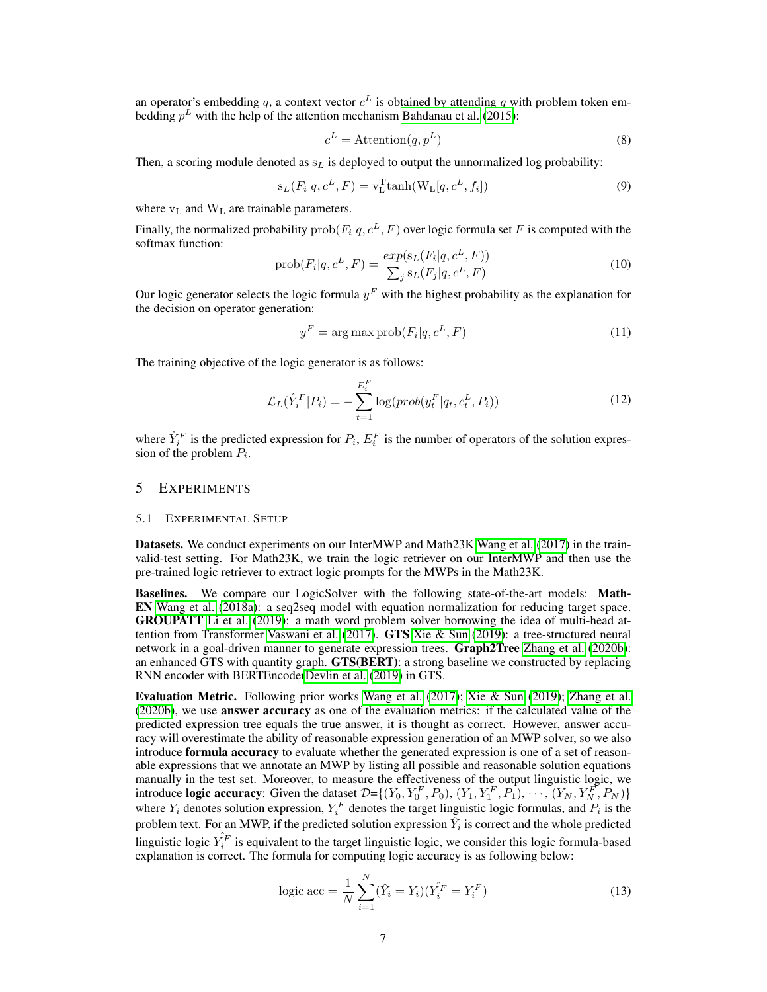an operator's embedding q, a context vector  $c^L$  is obtained by attending q with problem token embedding  $p<sup>L</sup>$  with the help of the attention mechanism [Bahdanau et al.](#page-10-7) [\(2015\)](#page-10-7):

$$
c^L = \text{Attention}(q, p^L) \tag{8}
$$

Then, a scoring module denoted as  $s<sub>L</sub>$  is deployed to output the unnormalized log probability:

$$
s_L(F_i|q, c^L, F) = v_L^{\text{T}} \tanh(W_L[q, c^L, f_i]) \tag{9}
$$

where  $v_L$  and  $W_L$  are trainable parameters.

Finally, the normalized probability  $\text{prob}(F_i|q, c^L, F)$  over logic formula set  $F$  is computed with the softmax function:

$$
prob(F_i|q, c^L, F) = \frac{exp(s_L(F_i|q, c^L, F))}{\sum_j s_L(F_j|q, c^L, F)}
$$
\n(10)

Our logic generator selects the logic formula  $y<sup>F</sup>$  with the highest probability as the explanation for the decision on operator generation:

$$
y^F = \arg\max \text{prob}(F_i | q, c^L, F) \tag{11}
$$

The training objective of the logic generator is as follows:

$$
\mathcal{L}_L(\hat{Y}_i^F|P_i) = -\sum_{t=1}^{E_i^F} \log(prob(y_t^F|q_t, c_t^L, P_i))
$$
\n(12)

where  $\hat{Y}_i^F$  is the predicted expression for  $P_i$ ,  $E_i^F$  is the number of operators of the solution expression of the problem  $P_i$ .

## 5 EXPERIMENTS

#### <span id="page-6-0"></span>5.1 EXPERIMENTAL SETUP

Datasets. We conduct experiments on our InterMWP and Math23K [Wang et al.](#page-12-0) [\(2017\)](#page-12-0) in the trainvalid-test setting. For Math23K, we train the logic retriever on our InterMWP and then use the pre-trained logic retriever to extract logic prompts for the MWPs in the Math23K.

Baselines. We compare our LogicSolver with the following state-of-the-art models: Math-EN [Wang et al.](#page-12-10) [\(2018a\)](#page-12-10): a seq2seq model with equation normalization for reducing target space. GROUPATT [Li et al.](#page-11-11) [\(2019\)](#page-11-11): a math word problem solver borrowing the idea of multi-head at-tention from Transformer [Vaswani et al.](#page-12-11) [\(2017\)](#page-12-11). **GTS** [Xie & Sun](#page-12-1) [\(2019\)](#page-12-1): a tree-structured neural network in a goal-driven manner to generate expression trees. Graph2Tree [Zhang et al.](#page-12-3) [\(2020b\)](#page-12-3): an enhanced GTS with quantity graph. GTS(BERT): a strong baseline we constructed by replacing RNN encoder with BERTEncode[rDevlin et al.](#page-10-5) [\(2019\)](#page-10-5) in GTS.

Evaluation Metric. Following prior works [Wang et al.](#page-12-0) [\(2017\)](#page-12-0); [Xie & Sun](#page-12-1) [\(2019\)](#page-12-1); [Zhang et al.](#page-12-3) [\(2020b\)](#page-12-3), we use answer accuracy as one of the evaluation metrics: if the calculated value of the predicted expression tree equals the true answer, it is thought as correct. However, answer accuracy will overestimate the ability of reasonable expression generation of an MWP solver, so we also introduce **formula accuracy** to evaluate whether the generated expression is one of a set of reasonable expressions that we annotate an MWP by listing all possible and reasonable solution equations manually in the test set. Moreover, to measure the effectiveness of the output linguistic logic, we introduce **logic accuracy**: Given the dataset  $\mathcal{D} = \{(Y_0, Y_0^F, P_0), (Y_1, Y_1^F, P_1), \cdots, (Y_N, Y_N^F, P_N)\}\$ where  $Y_i$  denotes solution expression,  $Y_i^F$  denotes the target linguistic logic formulas, and  $P_i$  is the problem text. For an MWP, if the predicted solution expression  $\hat{Y}_i$  is correct and the whole predicted linguistic logic  $\hat{Y}_i^F$  is equivalent to the target linguistic logic, we consider this logic formula-based explanation is correct. The formula for computing logic accuracy is as following below:

logic acc = 
$$
\frac{1}{N} \sum_{i=1}^{N} (\hat{Y}_i = Y_i)(\hat{Y}_i^F = Y_i^F)
$$
 (13)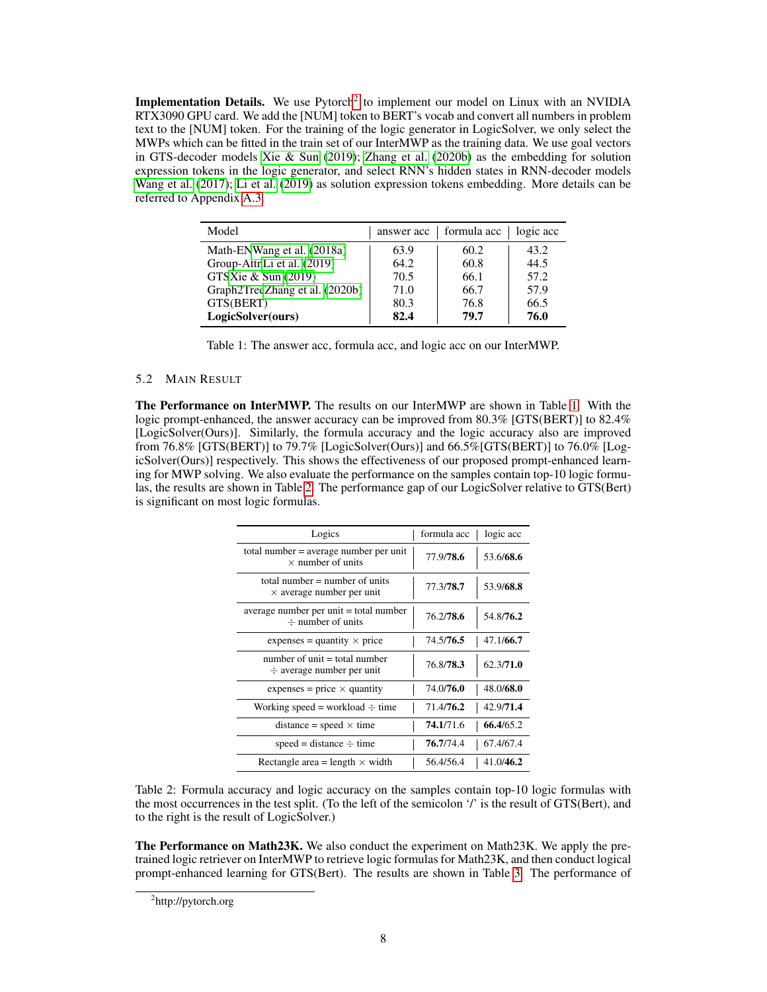Implementation Details. We use Pytorch<sup>[2](#page-7-0)</sup> to implement our model on Linux with an NVIDIA RTX3090 GPU card. We add the [NUM] token to BERT's vocab and convert all numbers in problem text to the [NUM] token. For the training of the logic generator in LogicSolver, we only select the MWPs which can be fitted in the train set of our InterMWP as the training data. We use goal vectors in GTS-decoder models [Xie & Sun](#page-12-1) [\(2019\)](#page-12-1); [Zhang et al.](#page-12-3) [\(2020b\)](#page-12-3) as the embedding for solution expression tokens in the logic generator, and select RNN's hidden states in RNN-decoder models [Wang et al.](#page-12-0) [\(2017\)](#page-12-0); [Li et al.](#page-11-11) [\(2019\)](#page-11-11) as solution expression tokens embedding. More details can be referred to Appendix [A.3.](#page-14-0)

<span id="page-7-1"></span>

| Model                          |      | answer acc   formula acc | logic acc |
|--------------------------------|------|--------------------------|-----------|
| Math-ENWang et al. (2018a)     | 63.9 | 60.2                     | 43.2      |
| Group-AttnLi et al. (2019)     | 64.2 | 60.8                     | 44.5      |
| GTSXie & Sun (2019)            | 70.5 | 66.1                     | 57.2      |
| Graph2TreeZhang et al. (2020b) | 71.0 | 66.7                     | 57.9      |
| GTS(BERT)                      | 80.3 | 76.8                     | 66.5      |
| LogicSolver(ours)              | 82.4 | 79.7                     | 76.0      |

| Table 1: The answer acc, formula acc, and logic acc on our InterMWP. |  |  |  |
|----------------------------------------------------------------------|--|--|--|
|----------------------------------------------------------------------|--|--|--|

#### 5.2 MAIN RESULT

The Performance on InterMWP. The results on our InterMWP are shown in Table [1.](#page-7-1) With the logic prompt-enhanced, the answer accuracy can be improved from 80.3% [GTS(BERT)] to 82.4% [LogicSolver(Ours)]. Similarly, the formula accuracy and the logic accuracy also are improved from 76.8% [GTS(BERT)] to 79.7% [LogicSolver(Ours)] and 66.5%[GTS(BERT)] to 76.0% [LogicSolver(Ours)] respectively. This shows the effectiveness of our proposed prompt-enhanced learning for MWP solving. We also evaluate the performance on the samples contain top-10 logic formulas, the results are shown in Table [2.](#page-7-2) The performance gap of our LogicSolver relative to GTS(Bert) is significant on most logic formulas.

<span id="page-7-2"></span>

| Logics                                                               | formula acc | logic acc |
|----------------------------------------------------------------------|-------------|-----------|
| total number $=$ average number per unit<br>$\times$ number of units | 77.9/78.6   | 53.6/68.6 |
| total number $=$ number of units<br>$\times$ average number per unit | 77.3/78.7   | 53.9/68.8 |
| average number per unit = total number<br>$\div$ number of units     | 76.2/78.6   | 54.8/76.2 |
| expenses = quantity $\times$ price                                   | 74.5/76.5   | 47.1/66.7 |
| number of unit $=$ total number<br>$\div$ average number per unit    | 76.8/78.3   | 62.3/71.0 |
| expenses = price $\times$ quantity                                   | 74.0/76.0   | 48.0/68.0 |
| Working speed = workload $\div$ time                                 | 71.4/76.2   | 42.9/71.4 |
| distance = speed $\times$ time                                       | 74.1/71.6   | 66.4/65.2 |
| $speed = distance \div time$                                         | 76.7/74.4   | 67.4/67.4 |
| Rectangle area = length $\times$ width                               | 56.4/56.4   | 41.0/46.2 |

Table 2: Formula accuracy and logic accuracy on the samples contain top-10 logic formulas with the most occurrences in the test split. (To the left of the semicolon '/' is the result of GTS(Bert), and to the right is the result of LogicSolver.)

The Performance on Math23K. We also conduct the experiment on Math23K. We apply the pretrained logic retriever on InterMWP to retrieve logic formulas for Math23K, and then conduct logical prompt-enhanced learning for GTS(Bert). The results are shown in Table [3.](#page-8-0) The performance of

<span id="page-7-0"></span><sup>&</sup>lt;sup>2</sup>http://pytorch.org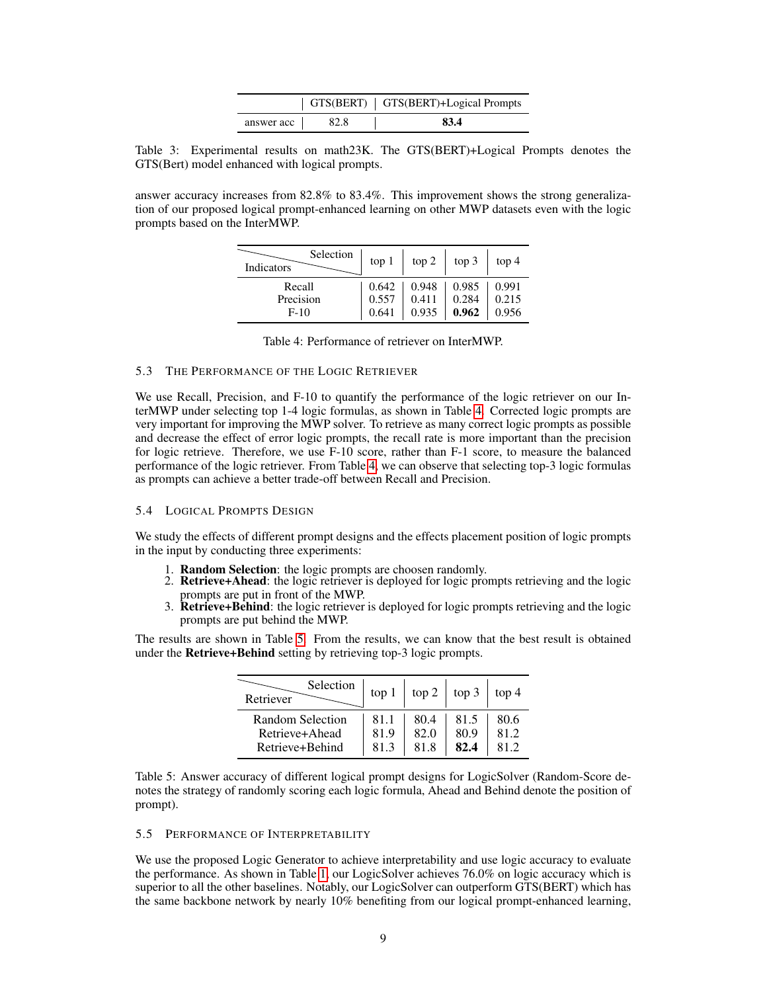|            |      | GTS(BERT)   GTS(BERT)+Logical Prompts |
|------------|------|---------------------------------------|
| answer acc | 82.8 | 83.4                                  |

<span id="page-8-0"></span>Table 3: Experimental results on math23K. The GTS(BERT)+Logical Prompts denotes the GTS(Bert) model enhanced with logical prompts.

<span id="page-8-1"></span>answer accuracy increases from 82.8% to 83.4%. This improvement shows the strong generalization of our proposed logical prompt-enhanced learning on other MWP datasets even with the logic prompts based on the InterMWP.

| Selection<br>Indicators | top 1 | top 2 | top 3 | top 4 |
|-------------------------|-------|-------|-------|-------|
| Recall                  | 0.642 | 0.948 | 0.985 | 0.991 |
| Precision               | 0.557 | 0.411 | 0.284 | 0.215 |
| $F-10$                  | 0.641 | 0.935 | 0.962 | 0.956 |

## 5.3 THE PERFORMANCE OF THE LOGIC RETRIEVER

We use Recall, Precision, and F-10 to quantify the performance of the logic retriever on our InterMWP under selecting top 1-4 logic formulas, as shown in Table [4.](#page-8-1) Corrected logic prompts are very important for improving the MWP solver. To retrieve as many correct logic prompts as possible and decrease the effect of error logic prompts, the recall rate is more important than the precision for logic retrieve. Therefore, we use F-10 score, rather than F-1 score, to measure the balanced performance of the logic retriever. From Table [4,](#page-8-1) we can observe that selecting top-3 logic formulas as prompts can achieve a better trade-off between Recall and Precision.

## 5.4 LOGICAL PROMPTS DESIGN

We study the effects of different prompt designs and the effects placement position of logic prompts in the input by conducting three experiments:

- 1. Random Selection: the logic prompts are choosen randomly.
- 2. Retrieve+Ahead: the logic retriever is deployed for logic prompts retrieving and the logic prompts are put in front of the MWP.
- 3. Retrieve+Behind: the logic retriever is deployed for logic prompts retrieving and the logic prompts are put behind the MWP.

<span id="page-8-2"></span>The results are shown in Table [5.](#page-8-2) From the results, we can know that the best result is obtained under the Retrieve+Behind setting by retrieving top-3 logic prompts.

| Selection<br>Retriever | top 1 | top 2 | top 3 | top 4 |
|------------------------|-------|-------|-------|-------|
| Random Selection       | 81.1  | 80.4  | 81.5  | 80.6  |
| Retrieve+Ahead         | 81.9  | 82.0  | 80.9  | 81.2  |
| Retrieve+Behind        | 81.3  | 81.8  | 82.4  | 81.2  |

Table 5: Answer accuracy of different logical prompt designs for LogicSolver (Random-Score denotes the strategy of randomly scoring each logic formula, Ahead and Behind denote the position of prompt).

#### 5.5 PERFORMANCE OF INTERPRETABILITY

We use the proposed Logic Generator to achieve interpretability and use logic accuracy to evaluate the performance. As shown in Table [1,](#page-7-1) our LogicSolver achieves 76.0% on logic accuracy which is superior to all the other baselines. Notably, our LogicSolver can outperform GTS(BERT) which has the same backbone network by nearly 10% benefiting from our logical prompt-enhanced learning,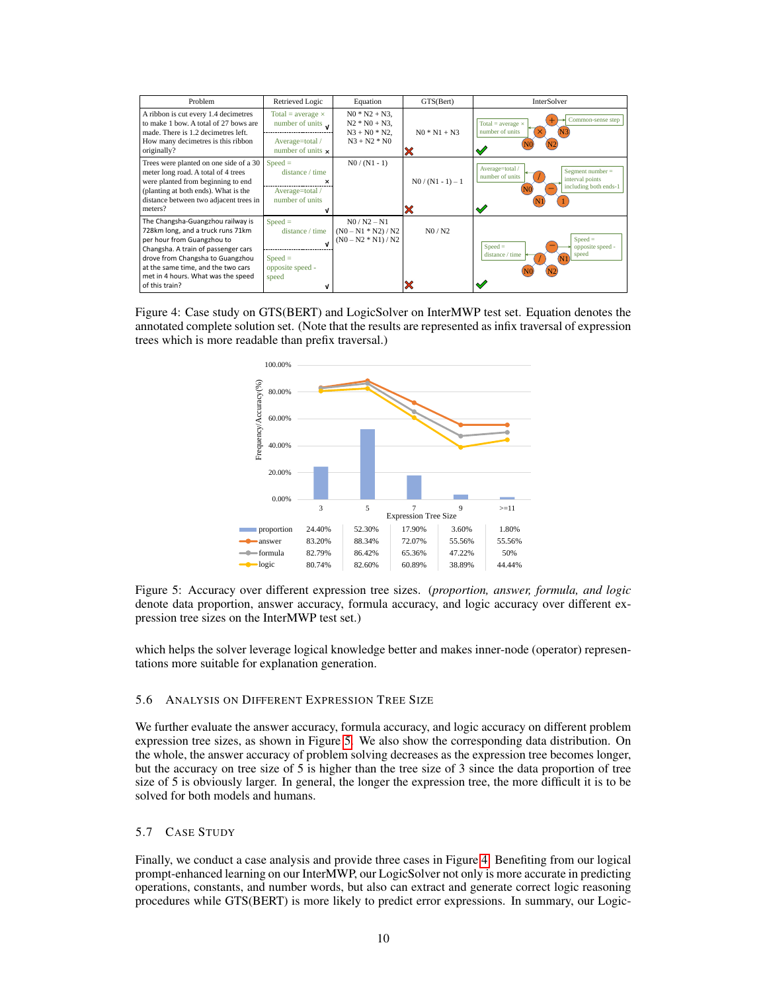<span id="page-9-1"></span>

| Problem                                                                                                                                                                                                                                                                       | Retrieved Logic                                                                                         | Equation                                                                   | GTS(Bert)           | InterSolver                                                                                                          |
|-------------------------------------------------------------------------------------------------------------------------------------------------------------------------------------------------------------------------------------------------------------------------------|---------------------------------------------------------------------------------------------------------|----------------------------------------------------------------------------|---------------------|----------------------------------------------------------------------------------------------------------------------|
| A ribbon is cut every 1.4 decimetres<br>to make 1 how. A total of 27 hows are<br>made. There is 1.2 decimetres left.<br>How many decimetres is this ribbon<br>originally?                                                                                                     | Total = average $\times$<br>number of units $\mathbf{v}$<br>Average=total /<br>number of units $\times$ | $N0 * N2 + N3$ ,<br>$N2 * N0 + N3$ .<br>$N3 + N0 * N2$ .<br>$N3 + N2 * N0$ | $N0 * N1 + N3$<br>X | Common-sense step<br>Total = $average \times$<br>number of units<br>✔                                                |
| Trees were planted on one side of a 30<br>meter long road. A total of 4 trees<br>were planted from beginning to end<br>(planting at both ends). What is the<br>distance between two adjacent trees in<br>meters?                                                              | $Speed =$<br>distance / time<br>×<br>Average=total /<br>number of units                                 | $N0/(N1-1)$                                                                | $N0/(N1-1)-1$<br>X  | Average=total /<br>Segment number $=$<br>number of units<br>interval points<br>including both ends-1<br>$\checkmark$ |
| The Changsha-Guangzhou railway is<br>728km long, and a truck runs 71km<br>per hour from Guangzhou to<br>Changsha. A train of passenger cars<br>drove from Changsha to Guangzhou<br>at the same time, and the two cars<br>met in 4 hours. What was the speed<br>of this train? | $Speed =$<br>distance / time<br>$Speed =$<br>opposite speed -<br>speed                                  | $N0/N2 - N1$<br>$(N0 - N1 * N2) / N2$<br>$(N0 - N2 * N1) / N2$             | N0/N2<br>X          | $Speed =$<br>opposite speed -<br>$Speed =$<br>speed<br>distance / time<br>✓                                          |

<span id="page-9-0"></span>Figure 4: Case study on GTS(BERT) and LogicSolver on InterMWP test set. Equation denotes the annotated complete solution set. (Note that the results are represented as infix traversal of expression trees which is more readable than prefix traversal.)



Figure 5: Accuracy over different expression tree sizes. (*proportion, answer, formula, and logic* denote data proportion, answer accuracy, formula accuracy, and logic accuracy over different expression tree sizes on the InterMWP test set.)

which helps the solver leverage logical knowledge better and makes inner-node (operator) representations more suitable for explanation generation.

#### 5.6 ANALYSIS ON DIFFERENT EXPRESSION TREE SIZE

We further evaluate the answer accuracy, formula accuracy, and logic accuracy on different problem expression tree sizes, as shown in Figure [5.](#page-9-0) We also show the corresponding data distribution. On the whole, the answer accuracy of problem solving decreases as the expression tree becomes longer, but the accuracy on tree size of 5 is higher than the tree size of 3 since the data proportion of tree size of 5 is obviously larger. In general, the longer the expression tree, the more difficult it is to be solved for both models and humans.

#### 5.7 CASE STUDY

Finally, we conduct a case analysis and provide three cases in Figure [4.](#page-9-1) Benefiting from our logical prompt-enhanced learning on our InterMWP, our LogicSolver not only is more accurate in predicting operations, constants, and number words, but also can extract and generate correct logic reasoning procedures while GTS(BERT) is more likely to predict error expressions. In summary, our Logic-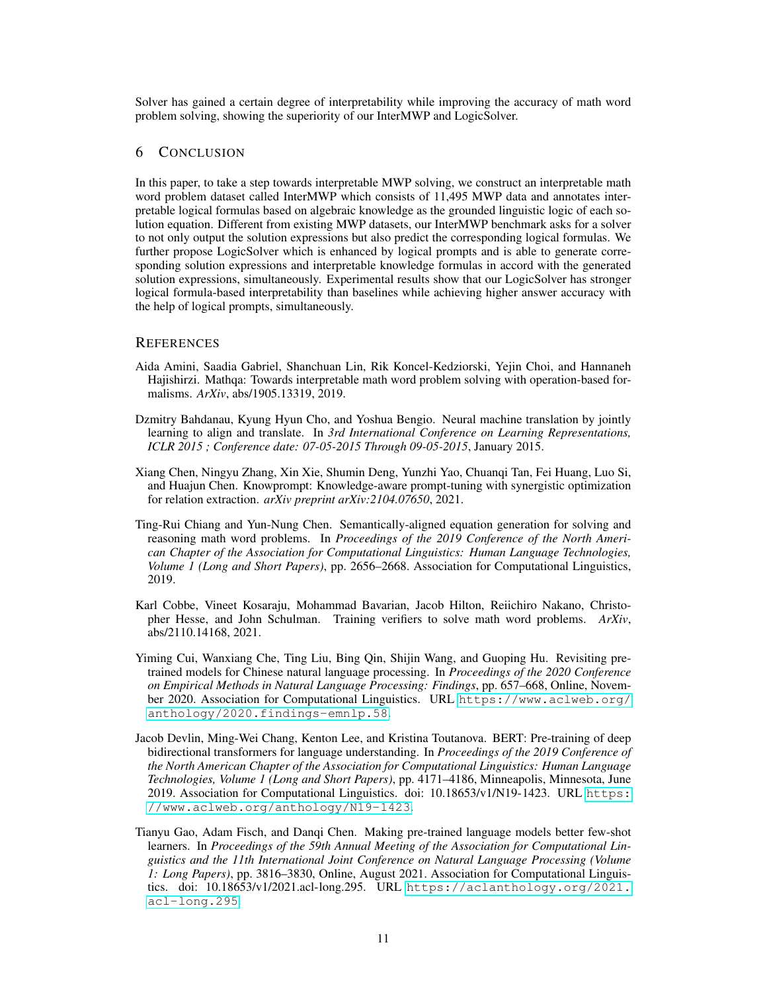Solver has gained a certain degree of interpretability while improving the accuracy of math word problem solving, showing the superiority of our InterMWP and LogicSolver.

## 6 CONCLUSION

In this paper, to take a step towards interpretable MWP solving, we construct an interpretable math word problem dataset called InterMWP which consists of 11,495 MWP data and annotates interpretable logical formulas based on algebraic knowledge as the grounded linguistic logic of each solution equation. Different from existing MWP datasets, our InterMWP benchmark asks for a solver to not only output the solution expressions but also predict the corresponding logical formulas. We further propose LogicSolver which is enhanced by logical prompts and is able to generate corresponding solution expressions and interpretable knowledge formulas in accord with the generated solution expressions, simultaneously. Experimental results show that our LogicSolver has stronger logical formula-based interpretability than baselines while achieving higher answer accuracy with the help of logical prompts, simultaneously.

#### **REFERENCES**

- <span id="page-10-3"></span>Aida Amini, Saadia Gabriel, Shanchuan Lin, Rik Koncel-Kedziorski, Yejin Choi, and Hannaneh Hajishirzi. Mathqa: Towards interpretable math word problem solving with operation-based formalisms. *ArXiv*, abs/1905.13319, 2019.
- <span id="page-10-7"></span>Dzmitry Bahdanau, Kyung Hyun Cho, and Yoshua Bengio. Neural machine translation by jointly learning to align and translate. In *3rd International Conference on Learning Representations, ICLR 2015 ; Conference date: 07-05-2015 Through 09-05-2015*, January 2015.
- <span id="page-10-2"></span>Xiang Chen, Ningyu Zhang, Xin Xie, Shumin Deng, Yunzhi Yao, Chuanqi Tan, Fei Huang, Luo Si, and Huajun Chen. Knowprompt: Knowledge-aware prompt-tuning with synergistic optimization for relation extraction. *arXiv preprint arXiv:2104.07650*, 2021.
- <span id="page-10-0"></span>Ting-Rui Chiang and Yun-Nung Chen. Semantically-aligned equation generation for solving and reasoning math word problems. In *Proceedings of the 2019 Conference of the North American Chapter of the Association for Computational Linguistics: Human Language Technologies, Volume 1 (Long and Short Papers)*, pp. 2656–2668. Association for Computational Linguistics, 2019.
- <span id="page-10-4"></span>Karl Cobbe, Vineet Kosaraju, Mohammad Bavarian, Jacob Hilton, Reiichiro Nakano, Christopher Hesse, and John Schulman. Training verifiers to solve math word problems. *ArXiv*, abs/2110.14168, 2021.
- <span id="page-10-6"></span>Yiming Cui, Wanxiang Che, Ting Liu, Bing Qin, Shijin Wang, and Guoping Hu. Revisiting pretrained models for Chinese natural language processing. In *Proceedings of the 2020 Conference on Empirical Methods in Natural Language Processing: Findings*, pp. 657–668, Online, November 2020. Association for Computational Linguistics. URL [https://www.aclweb.org/](https://www.aclweb.org/anthology/2020.findings-emnlp.58) [anthology/2020.findings-emnlp.58](https://www.aclweb.org/anthology/2020.findings-emnlp.58).
- <span id="page-10-5"></span>Jacob Devlin, Ming-Wei Chang, Kenton Lee, and Kristina Toutanova. BERT: Pre-training of deep bidirectional transformers for language understanding. In *Proceedings of the 2019 Conference of the North American Chapter of the Association for Computational Linguistics: Human Language Technologies, Volume 1 (Long and Short Papers)*, pp. 4171–4186, Minneapolis, Minnesota, June 2019. Association for Computational Linguistics. doi: 10.18653/v1/N19-1423. URL [https:](https://www.aclweb.org/anthology/N19-1423) [//www.aclweb.org/anthology/N19-1423](https://www.aclweb.org/anthology/N19-1423).
- <span id="page-10-1"></span>Tianyu Gao, Adam Fisch, and Danqi Chen. Making pre-trained language models better few-shot learners. In *Proceedings of the 59th Annual Meeting of the Association for Computational Linguistics and the 11th International Joint Conference on Natural Language Processing (Volume 1: Long Papers)*, pp. 3816–3830, Online, August 2021. Association for Computational Linguistics. doi: 10.18653/v1/2021.acl-long.295. URL [https://aclanthology.org/2021.](https://aclanthology.org/2021.acl-long.295) [acl-long.295](https://aclanthology.org/2021.acl-long.295).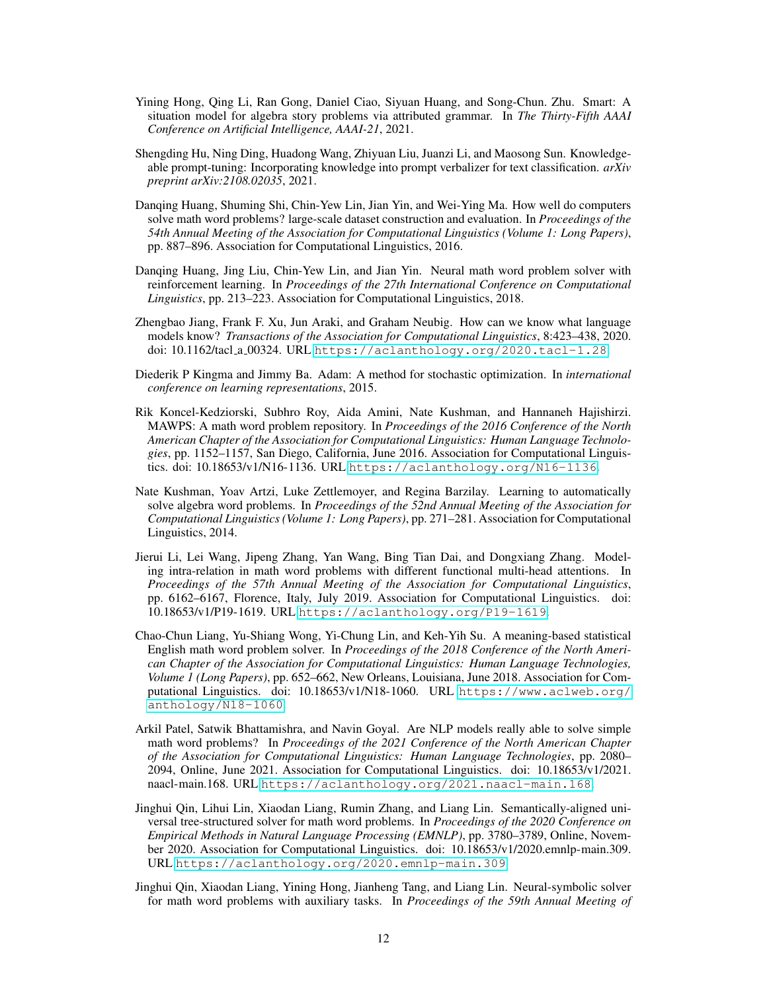- <span id="page-11-4"></span>Yining Hong, Qing Li, Ran Gong, Daniel Ciao, Siyuan Huang, and Song-Chun. Zhu. Smart: A situation model for algebra story problems via attributed grammar. In *The Thirty-Fifth AAAI Conference on Artificial Intelligence, AAAI-21*, 2021.
- <span id="page-11-6"></span>Shengding Hu, Ning Ding, Huadong Wang, Zhiyuan Liu, Juanzi Li, and Maosong Sun. Knowledgeable prompt-tuning: Incorporating knowledge into prompt verbalizer for text classification. *arXiv preprint arXiv:2108.02035*, 2021.
- <span id="page-11-7"></span>Danqing Huang, Shuming Shi, Chin-Yew Lin, Jian Yin, and Wei-Ying Ma. How well do computers solve math word problems? large-scale dataset construction and evaluation. In *Proceedings of the 54th Annual Meeting of the Association for Computational Linguistics (Volume 1: Long Papers)*, pp. 887–896. Association for Computational Linguistics, 2016.
- <span id="page-11-0"></span>Danqing Huang, Jing Liu, Chin-Yew Lin, and Jian Yin. Neural math word problem solver with reinforcement learning. In *Proceedings of the 27th International Conference on Computational Linguistics*, pp. 213–223. Association for Computational Linguistics, 2018.
- <span id="page-11-5"></span>Zhengbao Jiang, Frank F. Xu, Jun Araki, and Graham Neubig. How can we know what language models know? *Transactions of the Association for Computational Linguistics*, 8:423–438, 2020. doi: 10.1162/tacl a 00324. URL <https://aclanthology.org/2020.tacl-1.28>.
- <span id="page-11-12"></span>Diederik P Kingma and Jimmy Ba. Adam: A method for stochastic optimization. In *international conference on learning representations*, 2015.
- <span id="page-11-9"></span>Rik Koncel-Kedziorski, Subhro Roy, Aida Amini, Nate Kushman, and Hannaneh Hajishirzi. MAWPS: A math word problem repository. In *Proceedings of the 2016 Conference of the North American Chapter of the Association for Computational Linguistics: Human Language Technologies*, pp. 1152–1157, San Diego, California, June 2016. Association for Computational Linguistics. doi: 10.18653/v1/N16-1136. URL <https://aclanthology.org/N16-1136>.
- <span id="page-11-10"></span>Nate Kushman, Yoav Artzi, Luke Zettlemoyer, and Regina Barzilay. Learning to automatically solve algebra word problems. In *Proceedings of the 52nd Annual Meeting of the Association for Computational Linguistics (Volume 1: Long Papers)*, pp. 271–281. Association for Computational Linguistics, 2014.
- <span id="page-11-11"></span>Jierui Li, Lei Wang, Jipeng Zhang, Yan Wang, Bing Tian Dai, and Dongxiang Zhang. Modeling intra-relation in math word problems with different functional multi-head attentions. In *Proceedings of the 57th Annual Meeting of the Association for Computational Linguistics*, pp. 6162–6167, Florence, Italy, July 2019. Association for Computational Linguistics. doi: 10.18653/v1/P19-1619. URL <https://aclanthology.org/P19-1619>.
- <span id="page-11-8"></span>Chao-Chun Liang, Yu-Shiang Wong, Yi-Chung Lin, and Keh-Yih Su. A meaning-based statistical English math word problem solver. In *Proceedings of the 2018 Conference of the North American Chapter of the Association for Computational Linguistics: Human Language Technologies, Volume 1 (Long Papers)*, pp. 652–662, New Orleans, Louisiana, June 2018. Association for Computational Linguistics. doi: 10.18653/v1/N18-1060. URL [https://www.aclweb.org/](https://www.aclweb.org/anthology/N18-1060) [anthology/N18-1060](https://www.aclweb.org/anthology/N18-1060).
- <span id="page-11-3"></span>Arkil Patel, Satwik Bhattamishra, and Navin Goyal. Are NLP models really able to solve simple math word problems? In *Proceedings of the 2021 Conference of the North American Chapter of the Association for Computational Linguistics: Human Language Technologies*, pp. 2080– 2094, Online, June 2021. Association for Computational Linguistics. doi: 10.18653/v1/2021. naacl-main.168. URL <https://aclanthology.org/2021.naacl-main.168>.
- <span id="page-11-1"></span>Jinghui Qin, Lihui Lin, Xiaodan Liang, Rumin Zhang, and Liang Lin. Semantically-aligned universal tree-structured solver for math word problems. In *Proceedings of the 2020 Conference on Empirical Methods in Natural Language Processing (EMNLP)*, pp. 3780–3789, Online, November 2020. Association for Computational Linguistics. doi: 10.18653/v1/2020.emnlp-main.309. URL <https://aclanthology.org/2020.emnlp-main.309>.
- <span id="page-11-2"></span>Jinghui Qin, Xiaodan Liang, Yining Hong, Jianheng Tang, and Liang Lin. Neural-symbolic solver for math word problems with auxiliary tasks. In *Proceedings of the 59th Annual Meeting of*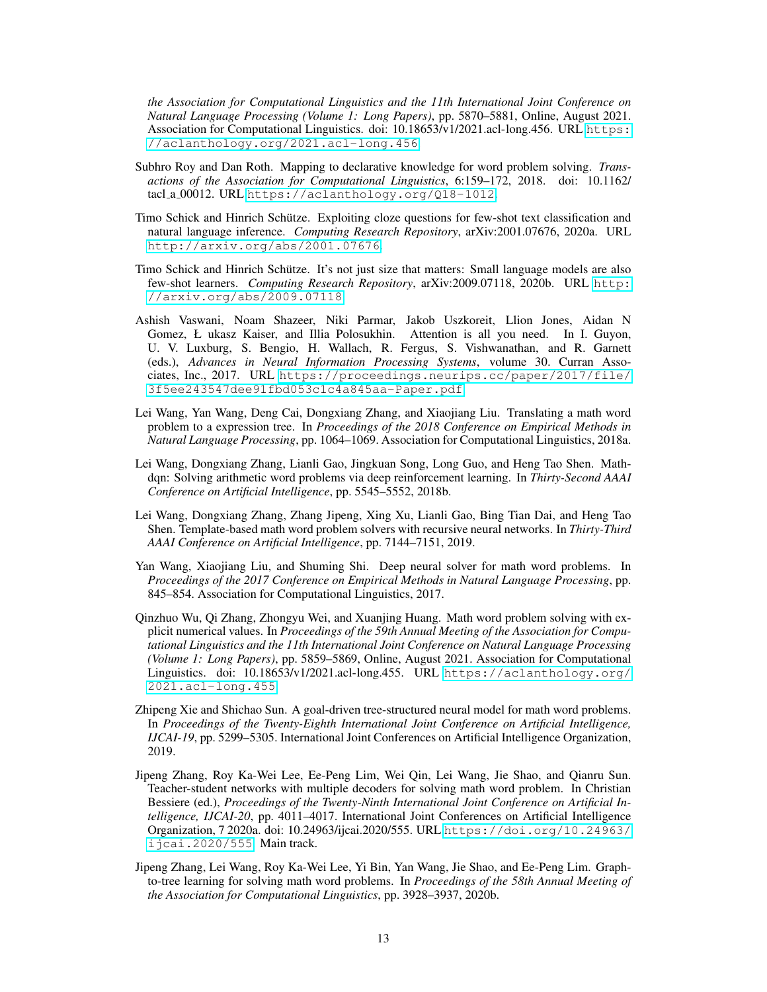*the Association for Computational Linguistics and the 11th International Joint Conference on Natural Language Processing (Volume 1: Long Papers)*, pp. 5870–5881, Online, August 2021. Association for Computational Linguistics. doi: 10.18653/v1/2021.acl-long.456. URL [https:](https://aclanthology.org/2021.acl-long.456) [//aclanthology.org/2021.acl-long.456](https://aclanthology.org/2021.acl-long.456).

- <span id="page-12-9"></span>Subhro Roy and Dan Roth. Mapping to declarative knowledge for word problem solving. *Transactions of the Association for Computational Linguistics*, 6:159–172, 2018. doi: 10.1162/ tacl a 00012. URL <https://aclanthology.org/Q18-1012>.
- <span id="page-12-7"></span>Timo Schick and Hinrich Schütze. Exploiting cloze questions for few-shot text classification and natural language inference. *Computing Research Repository*, arXiv:2001.07676, 2020a. URL <http://arxiv.org/abs/2001.07676>.
- <span id="page-12-8"></span>Timo Schick and Hinrich Schütze. It's not just size that matters: Small language models are also few-shot learners. *Computing Research Repository*, arXiv:2009.07118, 2020b. URL [http:](http://arxiv.org/abs/2009.07118) [//arxiv.org/abs/2009.07118](http://arxiv.org/abs/2009.07118).
- <span id="page-12-11"></span>Ashish Vaswani, Noam Shazeer, Niki Parmar, Jakob Uszkoreit, Llion Jones, Aidan N Gomez, Ł ukasz Kaiser, and Illia Polosukhin. Attention is all you need. In I. Guyon, U. V. Luxburg, S. Bengio, H. Wallach, R. Fergus, S. Vishwanathan, and R. Garnett (eds.), *Advances in Neural Information Processing Systems*, volume 30. Curran Associates, Inc., 2017. URL [https://proceedings.neurips.cc/paper/2017/file/](https://proceedings.neurips.cc/paper/2017/file/3f5ee243547dee91fbd053c1c4a845aa-Paper.pdf) [3f5ee243547dee91fbd053c1c4a845aa-Paper.pdf](https://proceedings.neurips.cc/paper/2017/file/3f5ee243547dee91fbd053c1c4a845aa-Paper.pdf).
- <span id="page-12-10"></span>Lei Wang, Yan Wang, Deng Cai, Dongxiang Zhang, and Xiaojiang Liu. Translating a math word problem to a expression tree. In *Proceedings of the 2018 Conference on Empirical Methods in Natural Language Processing*, pp. 1064–1069. Association for Computational Linguistics, 2018a.
- <span id="page-12-4"></span>Lei Wang, Dongxiang Zhang, Lianli Gao, Jingkuan Song, Long Guo, and Heng Tao Shen. Mathdqn: Solving arithmetic word problems via deep reinforcement learning. In *Thirty-Second AAAI Conference on Artificial Intelligence*, pp. 5545–5552, 2018b.
- <span id="page-12-2"></span>Lei Wang, Dongxiang Zhang, Zhang Jipeng, Xing Xu, Lianli Gao, Bing Tian Dai, and Heng Tao Shen. Template-based math word problem solvers with recursive neural networks. In *Thirty-Third AAAI Conference on Artificial Intelligence*, pp. 7144–7151, 2019.
- <span id="page-12-0"></span>Yan Wang, Xiaojiang Liu, and Shuming Shi. Deep neural solver for math word problems. In *Proceedings of the 2017 Conference on Empirical Methods in Natural Language Processing*, pp. 845–854. Association for Computational Linguistics, 2017.
- <span id="page-12-6"></span>Qinzhuo Wu, Qi Zhang, Zhongyu Wei, and Xuanjing Huang. Math word problem solving with explicit numerical values. In *Proceedings of the 59th Annual Meeting of the Association for Computational Linguistics and the 11th International Joint Conference on Natural Language Processing (Volume 1: Long Papers)*, pp. 5859–5869, Online, August 2021. Association for Computational Linguistics. doi: 10.18653/v1/2021.acl-long.455. URL [https://aclanthology.org/](https://aclanthology.org/2021.acl-long.455) [2021.acl-long.455](https://aclanthology.org/2021.acl-long.455).
- <span id="page-12-1"></span>Zhipeng Xie and Shichao Sun. A goal-driven tree-structured neural model for math word problems. In *Proceedings of the Twenty-Eighth International Joint Conference on Artificial Intelligence, IJCAI-19*, pp. 5299–5305. International Joint Conferences on Artificial Intelligence Organization, 2019.
- <span id="page-12-5"></span>Jipeng Zhang, Roy Ka-Wei Lee, Ee-Peng Lim, Wei Qin, Lei Wang, Jie Shao, and Qianru Sun. Teacher-student networks with multiple decoders for solving math word problem. In Christian Bessiere (ed.), *Proceedings of the Twenty-Ninth International Joint Conference on Artificial Intelligence, IJCAI-20*, pp. 4011–4017. International Joint Conferences on Artificial Intelligence Organization, 7 2020a. doi: 10.24963/ijcai.2020/555. URL [https://doi.org/10.24963/](https://doi.org/10.24963/ijcai.2020/555) [ijcai.2020/555](https://doi.org/10.24963/ijcai.2020/555). Main track.
- <span id="page-12-3"></span>Jipeng Zhang, Lei Wang, Roy Ka-Wei Lee, Yi Bin, Yan Wang, Jie Shao, and Ee-Peng Lim. Graphto-tree learning for solving math word problems. In *Proceedings of the 58th Annual Meeting of the Association for Computational Linguistics*, pp. 3928–3937, 2020b.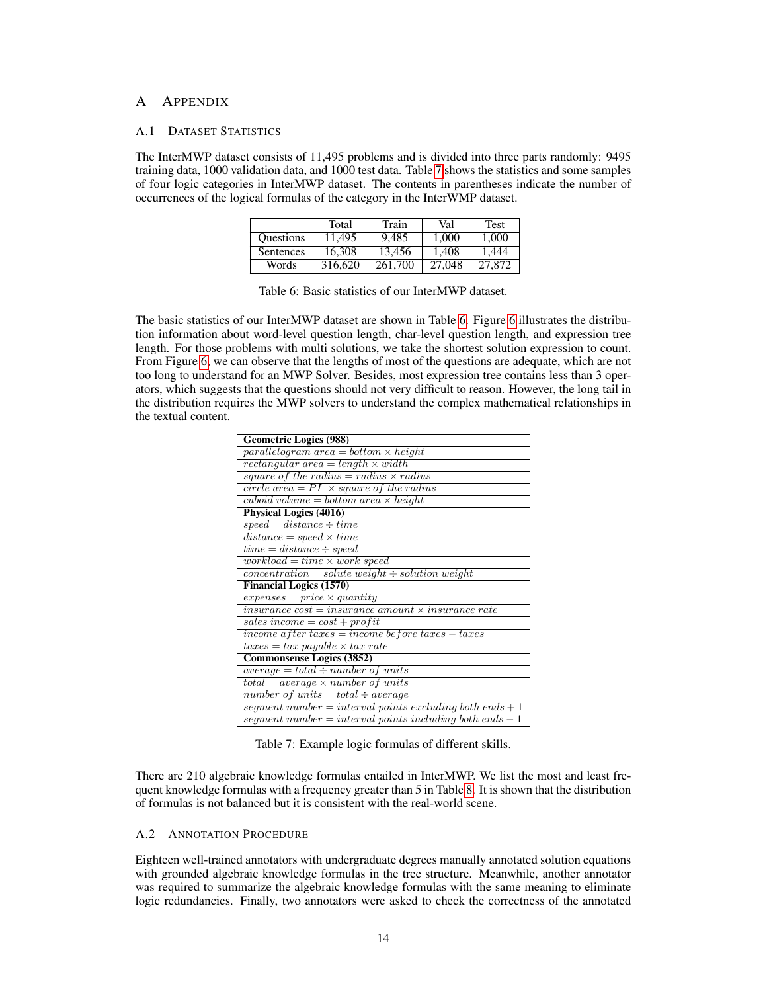## A APPENDIX

#### A.1 DATASET STATISTICS

<span id="page-13-2"></span>The InterMWP dataset consists of 11,495 problems and is divided into three parts randomly: 9495 training data, 1000 validation data, and 1000 test data. Table [7](#page-13-1) shows the statistics and some samples of four logic categories in InterMWP dataset. The contents in parentheses indicate the number of occurrences of the logical formulas of the category in the InterWMP dataset.

|                  | Total   | Train   | Val    | Test   |
|------------------|---------|---------|--------|--------|
| <b>Ouestions</b> | 11.495  | 9.485   | 1.000  | 1.000  |
| Sentences        | 16,308  | 13,456  | 1.408  | 1.444  |
| Words            | 316,620 | 261,700 | 27,048 | 27,872 |

| Table 6: Basic statistics of our InterMWP dataset. |
|----------------------------------------------------|
|----------------------------------------------------|

The basic statistics of our InterMWP dataset are shown in Table [6.](#page-13-2) Figure [6](#page-14-1) illustrates the distribution information about word-level question length, char-level question length, and expression tree length. For those problems with multi solutions, we take the shortest solution expression to count. From Figure [6,](#page-14-1) we can observe that the lengths of most of the questions are adequate, which are not too long to understand for an MWP Solver. Besides, most expression tree contains less than 3 operators, which suggests that the questions should not very difficult to reason. However, the long tail in the distribution requires the MWP solvers to understand the complex mathematical relationships in the textual content.

<span id="page-13-1"></span>

| <b>Geometric Logics (988)</b>                                                    |
|----------------------------------------------------------------------------------|
| $parallelogram \ area = bottom \times height$                                    |
| $rectangular \ area = length \times width$                                       |
| square of the radius $=$ radius $\times$ radius                                  |
| circle area = $PI \times square$ of the radius                                   |
| $\overline{cuboid \ volume} = \overline{bottom \ area} \times \overline{height}$ |
| <b>Physical Logics (4016)</b>                                                    |
| $speed = distance \div time$                                                     |
| $distance = speed \times time$                                                   |
| $time = distance \div speed$                                                     |
| $workload = time \times work speed$                                              |
| $concentration = solute weight \div solution weight$                             |
| <b>Financial Logics (1570)</b>                                                   |
| $express = price \times quantity$                                                |
| $insurance cost = insurance amount \times insurance rate$                        |
| sales income = $cost + profit$                                                   |
| $lineome\ after\ taxes = income\ before\ taxes - taxes$                          |
| $taxes = \overline{tax\ payable \times tax\ rate}$                               |
| <b>Commonsense Logics (3852)</b>                                                 |
| $average = total \div number \ of \ units$                                       |
| $total = average \times number of units$                                         |
| $number of units = total \div average$                                           |
| segment number = interval points excluding both ends + 1                         |
| segment number = interval points including both ends $-1$                        |

Table 7: Example logic formulas of different skills.

There are 210 algebraic knowledge formulas entailed in InterMWP. We list the most and least frequent knowledge formulas with a frequency greater than 5 in Table [8.](#page-14-2) It is shown that the distribution of formulas is not balanced but it is consistent with the real-world scene.

## <span id="page-13-0"></span>A.2 ANNOTATION PROCEDURE

Eighteen well-trained annotators with undergraduate degrees manually annotated solution equations with grounded algebraic knowledge formulas in the tree structure. Meanwhile, another annotator was required to summarize the algebraic knowledge formulas with the same meaning to eliminate logic redundancies. Finally, two annotators were asked to check the correctness of the annotated